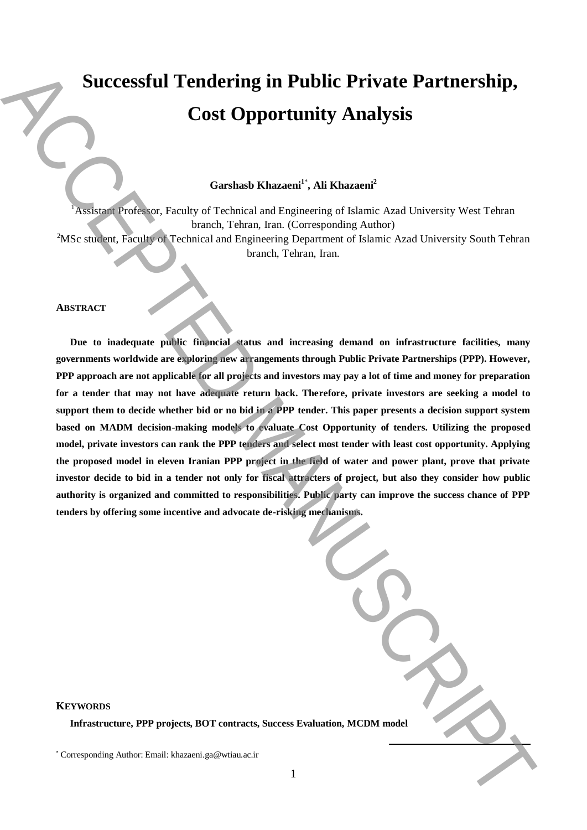# **Successful Tendering in Public Private Partnership, Cost Opportunity Analysis**

# **Garshasb Khazaeni<sup>1</sup>**\* **, Ali Khazaeni<sup>2</sup>**

<sup>1</sup>Assistant Professor, Faculty of Technical and Engineering of Islamic Azad University West Tehran branch, Tehran, Iran. (Corresponding Author) <sup>2</sup>MSc student, Faculty of Technical and Engineering Department of Islamic Azad University South Tehran

branch, Tehran, Iran.

#### **ABSTRACT**

**Due to inadequate public financial status and increasing demand on infrastructure facilities, many governments worldwide are exploring new arrangements through Public Private Partnerships (PPP). However, PPP approach are not applicable for all projects and investors may pay a lot of time and money for preparation for a tender that may not have adequate return back. Therefore, private investors are seeking a model to support them to decide whether bid or no bid in a PPP tender. This paper presents a decision support system based on MADM decision-making models to evaluate Cost Opportunity of tenders. Utilizing the proposed model, private investors can rank the PPP tenders and select most tender with least cost opportunity. Applying the proposed model in eleven Iranian PPP project in the field of water and power plant, prove that private investor decide to bid in a tender not only for fiscal attracters of project, but also they consider how public authority is organized and committed to responsibilities. Public party can improve the success chance of PPP tenders by offering some incentive and advocate de-risking mechanisms.** Successfull Tendering in Public Private Partnership,<br>
Cost Opportunity Analysis<br>
Corresponding Authorities and Interior Corresponding Authorities and Theorem (Seconding Author)<br>
NBS subgrass access of the corresponding Au

| aluation, MCDM model |  |
|----------------------|--|

# **KEYWORDS**

**Infrastructure, PPP projects, BOT contracts, Success Evaluation**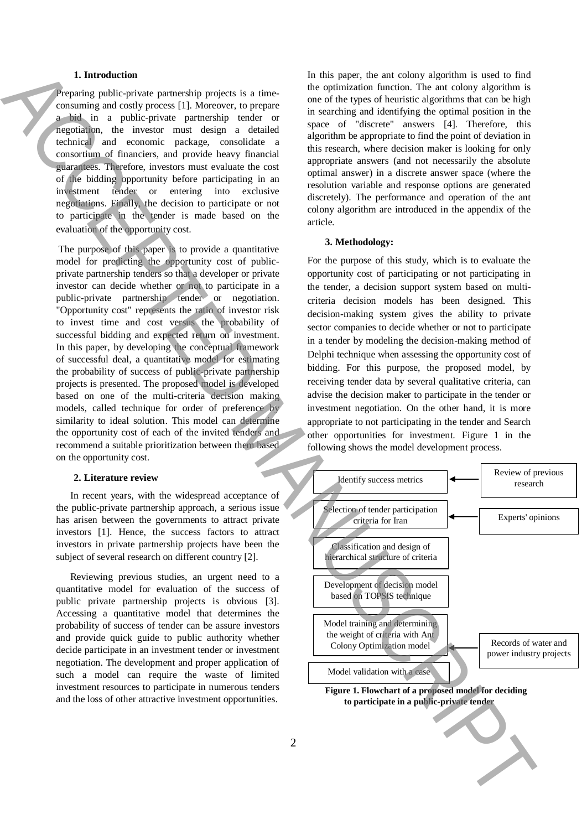## **1. Introduction**

Preparing public-private partnership projects is a timeconsuming and costly process [1]. Moreover, to prepare a bid in a public-private partnership tender or negotiation, the investor must design a detailed technical and economic package, consolidate a consortium of financiers, and provide heavy financial guarantees. Therefore, investors must evaluate the cost of the bidding opportunity before participating in an investment tender or entering into exclusive negotiations. Finally, the decision to participate or not to participate in the tender is made based on the evaluation of the opportunity cost.

The purpose of this paper is to provide a quantitative model for predicting the opportunity cost of publicprivate partnership tenders so that a developer or private investor can decide whether or not to participate in a public-private partnership tender or negotiation. "Opportunity cost" represents the ratio of investor risk to invest time and cost versus the probability of successful bidding and expected return on investment. In this paper, by developing the conceptual framework of successful deal, a quantitative model for estimating the probability of success of public-private partnership projects is presented. The proposed model is developed based on one of the multi-criteria decision making models, called technique for order of preference by similarity to ideal solution. This model can determine the opportunity cost of each of the invited tenders and recommend a suitable prioritization between them based on the opportunity cost.

#### **2. Literature review**

In recent years, with the widespread acceptance of the public-private partnership approach, a serious issue has arisen between the governments to attract private investors [1]. Hence, the success factors to attract investors in private partnership projects have been the subject of several research on different country [2].

Reviewing previous studies, an urgent need to a quantitative model for evaluation of the success of public private partnership projects is obvious [3]. Accessing a quantitative model that determines the probability of success of tender can be assure investors and provide quick guide to public authority whether decide participate in an investment tender or investment negotiation. The development and proper application of such a model can require the waste of limited investment resources to participate in numerous tenders and the loss of other attractive investment opportunities.

In this paper, the ant colony algorithm is used to find the optimization function. The ant colony algorithm is one of the types of heuristic algorithms that can be high in searching and identifying the optimal position in the space of "discrete" answers [4]. Therefore, this algorithm be appropriate to find the point of deviation in this research, where decision maker is looking for only appropriate answers (and not necessarily the absolute optimal answer) in a discrete answer space (where the resolution variable and response options are generated discretely). The performance and operation of the ant colony algorithm are introduced in the appendix of the article.

#### **3. Methodology:**

For the purpose of this study, which is to evaluate the opportunity cost of participating or not participating in the tender, a decision support system based on multicriteria decision models has been designed. This decision-making system gives the ability to private sector companies to decide whether or not to participate in a tender by modeling the decision-making method of Delphi technique when assessing the opportunity cost of bidding. For this purpose, the proposed model, by receiving tender data by several qualitative criteria, can advise the decision maker to participate in the tender or investment negotiation. On the other hand, it is more appropriate to not participating in the tender and Search other opportunities for investment. Figure 1 in the following shows the model development process.

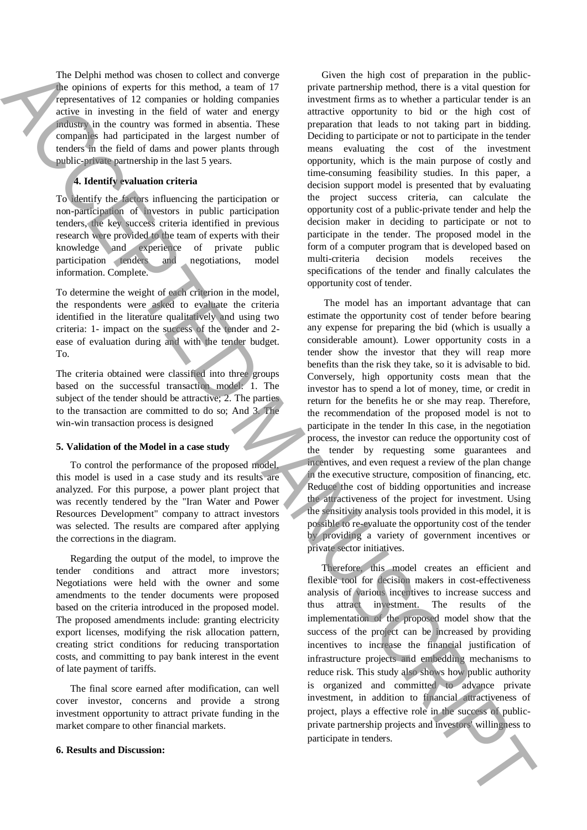The Delphi method was chosen to collect and converge the opinions of experts for this method, a team of 17 representatives of 12 companies or holding companies active in investing in the field of water and energy industry in the country was formed in absentia. These companies had participated in the largest number of tenders in the field of dams and power plants through public-private partnership in the last 5 years.

## **4. Identify evaluation criteria**

To identify the factors influencing the participation or non-participation of investors in public participation tenders, the key success criteria identified in previous research were provided to the team of experts with their knowledge and experience of private public participation tenders and negotiations, model information. Complete.

To determine the weight of each criterion in the model, the respondents were asked to evaluate the criteria identified in the literature qualitatively and using two criteria: 1- impact on the success of the tender and 2 ease of evaluation during and with the tender budget. To.

The criteria obtained were classified into three groups based on the successful transaction model: 1. The subject of the tender should be attractive; 2. The parties to the transaction are committed to do so; And 3. The win-win transaction process is designed

## **5. Validation of the Model in a case study**

To control the performance of the proposed model, this model is used in a case study and its results are analyzed. For this purpose, a power plant project that was recently tendered by the "Iran Water and Power Resources Development" company to attract investors was selected. The results are compared after applying the corrections in the diagram.

Regarding the output of the model, to improve the tender conditions and attract more investors; Negotiations were held with the owner and some amendments to the tender documents were proposed based on the criteria introduced in the proposed model. The proposed amendments include: granting electricity export licenses, modifying the risk allocation pattern, creating strict conditions for reducing transportation costs, and committing to pay bank interest in the event of late payment of tariffs.

The final score earned after modification, can well cover investor, concerns and provide a strong investment opportunity to attract private funding in the market compare to other financial markets.

## **6. Results and Discussion:**

Given the high cost of preparation in the publicprivate partnership method, there is a vital question for investment firms as to whether a particular tender is an attractive opportunity to bid or the high cost of preparation that leads to not taking part in bidding. Deciding to participate or not to participate in the tender means evaluating the cost of the investment opportunity, which is the main purpose of costly and time-consuming feasibility studies. In this paper, a decision support model is presented that by evaluating the project success criteria, can calculate the opportunity cost of a public-private tender and help the decision maker in deciding to participate or not to participate in the tender. The proposed model in the form of a computer program that is developed based on multi-criteria decision models receives the specifications of the tender and finally calculates the opportunity cost of tender.

The model has an important advantage that can estimate the opportunity cost of tender before bearing any expense for preparing the bid (which is usually a considerable amount). Lower opportunity costs in a tender show the investor that they will reap more benefits than the risk they take, so it is advisable to bid. Conversely, high opportunity costs mean that the investor has to spend a lot of money, time, or credit in return for the benefits he or she may reap. Therefore, the recommendation of the proposed model is not to participate in the tender In this case, in the negotiation process, the investor can reduce the opportunity cost of the tender by requesting some guarantees and incentives, and even request a review of the plan change in the executive structure, composition of financing, etc. Reduce the cost of bidding opportunities and increase the attractiveness of the project for investment. Using the sensitivity analysis tools provided in this model, it is possible to re-evaluate the opportunity cost of the tender by providing a variety of government incentives or private sector initiatives. The Department of the matrix of the collection of the set of the set of the set of the set of the set of the set of the set of the set of the set of the set of the set of the set of the set of the set of the set of the se

Therefore, this model creates an efficient and flexible tool for decision makers in cost-effectiveness analysis of various incentives to increase success and thus attract investment. The results of the implementation of the proposed model show that the success of the project can be increased by providing incentives to increase the financial justification of infrastructure projects and embedding mechanisms to reduce risk. This study also shows how public authority is organized and committed to advance private investment, in addition to financial attractiveness of project, plays a effective role in the success of publicprivate partnership projects and investors' willingness to